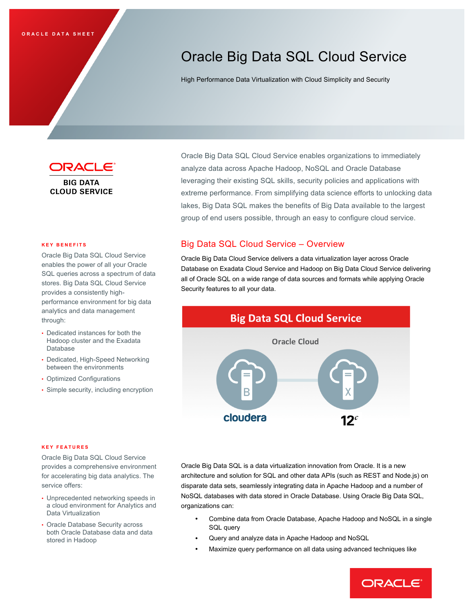# Oracle Big Data SQL Cloud Service

High Performance Data Virtualization with Cloud Simplicity and Security



**BIG DATA CLOUD SERVICE** 

#### **KEY BENEFITS**

 Oracle Big Data SQL Cloud Service enables the power of all your Oracle SQL queries across a spectrum of data stores. Big Data SQL Cloud Service performance environment for big data provides a consistently highanalytics and data management through:

- Hadoop cluster and the Exadata • Dedicated instances for both the Database
- Dedicated, High-Speed Networking between the environments
- Optimized Configurations
- Simple security, including encryption

 Oracle Big Data SQL Cloud Service enables organizations to immediately leveraging their existing SQL skills, security policies and applications with extreme performance. From simplifying data science efforts to unlocking data lakes, Big Data SQL makes the benefits of Big Data available to the largest group of end users possible, through an easy to configure cloud service. analyze data across Apache Hadoop, NoSQL and Oracle Database

# Big Data SQL Cloud Service – Overview

 Oracle Big Data Cloud Service delivers a data virtualization layer across Oracle Database on Exadata Cloud Service and Hadoop on Big Data Cloud Service delivering all of Oracle SQL on a wide range of data sources and formats while applying Oracle Security features to all your data.



#### **KEY FEATURES**

 Oracle Big Data SQL Cloud Service for accelerating big data analytics. The provides a comprehensive environment service offers:

- • Unprecedented networking speeds in a cloud environment for Analytics and Data Virtualization
- • Oracle Database Security across stored in Hadoop both Oracle Database data and data

 Oracle Big Data SQL is a data virtualization innovation from Oracle. It is a new architecture and solution for SQL and other data APIs (such as REST and Node.js) on disparate data sets, seamlessly integrating data in Apache Hadoop and a number of NoSQL databases with data stored in Oracle Database. Using Oracle Big Data SQL, organizations can:

- • Combine data from Oracle Database, Apache Hadoop and NoSQL in a single SQL query
- Query and analyze data in Apache Hadoop and NoSQL
- Maximize query performance on all data using advanced techniques like

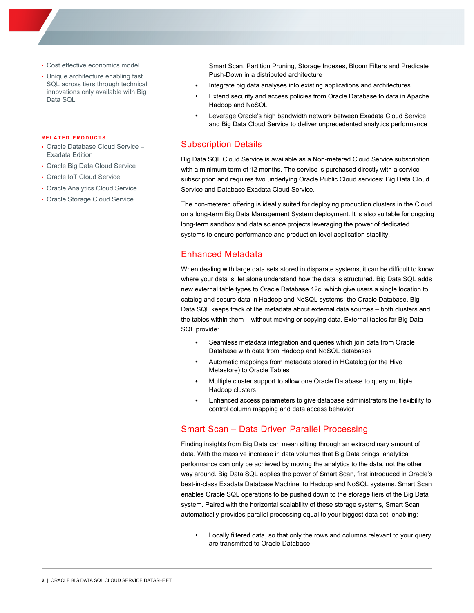- Cost effective economics model
- • Unique architecture enabling fast SQL across tiers through technical innovations only available with Big Data SQL

#### **RELATED PRODUCTS**

- • Oracle Database Cloud Service Exadata Edition
- Oracle Big Data Cloud Service
- Oracle IoT Cloud Service
- Oracle Analytics Cloud Service
- Oracle Storage Cloud Service

 Smart Scan, Partition Pruning, Storage Indexes, Bloom Filters and Predicate Push-Down in a distributed architecture

- Integrate big data analyses into existing applications and architectures
- Hadoop and NoSQL Extend security and access policies from Oracle Database to data in Apache
- • Leverage Oracle's high bandwidth network between Exadata Cloud Service and Big Data Cloud Service to deliver unprecedented analytics performance

## Subscription Details

 Big Data SQL Cloud Service is available as a Non-metered Cloud Service subscription with a minimum term of 12 months. The service is purchased directly with a service subscription and requires two underlying Oracle Public Cloud services: Big Data Cloud Service and Database Exadata Cloud Service.

 The non-metered offering is ideally suited for deploying production clusters in the Cloud on a long-term Big Data Management System deployment. It is also suitable for ongoing long-term sandbox and data science projects leveraging the power of dedicated systems to ensure performance and production level application stability.

# Enhanced Metadata

 When dealing with large data sets stored in disparate systems, it can be difficult to know where your data is, let alone understand how the data is structured. Big Data SQL adds new external table types to Oracle Database 12c, which give users a single location to catalog and secure data in Hadoop and NoSQL systems: the Oracle Database. Big Data SQL keeps track of the metadata about external data sources – both clusters and the tables within them – without moving or copying data. External tables for Big Data SQL provide:

- • Seamless metadata integration and queries which join data from Oracle Database with data from Hadoop and NoSQL databases
- • Automatic mappings from metadata stored in HCatalog (or the Hive Metastore) to Oracle Tables
- Hadoop clusters • Multiple cluster support to allow one Oracle Database to query multiple
- • Enhanced access parameters to give database administrators the flexibility to control column mapping and data access behavior

#### Smart Scan – Data Driven Parallel Processing

 Finding insights from Big Data can mean sifting through an extraordinary amount of data. With the massive increase in data volumes that Big Data brings, analytical performance can only be achieved by moving the analytics to the data, not the other way around. Big Data SQL applies the power of Smart Scan, first introduced in Oracle's best-in-class Exadata Database Machine, to Hadoop and NoSQL systems. Smart Scan enables Oracle SQL operations to be pushed down to the storage tiers of the Big Data system. Paired with the horizontal scalability of these storage systems, Smart Scan automatically provides parallel processing equal to your biggest data set, enabling:

 are transmitted to Oracle Database • Locally filtered data, so that only the rows and columns relevant to your query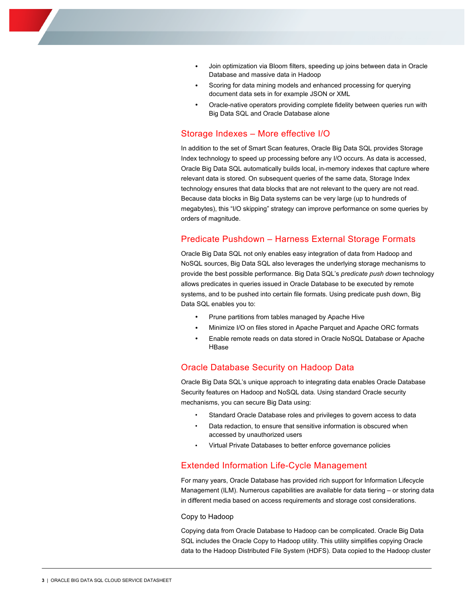- Database and massive data in Hadoop • Join optimization via Bloom filters, speeding up joins between data in Oracle
- document data sets in for example JSON or XML Scoring for data mining models and enhanced processing for querying
- • Oracle-native operators providing complete fidelity between queries run with Big Data SQL and Oracle Database alone

# Storage Indexes – More effective I/O

 In addition to the set of Smart Scan features, Oracle Big Data SQL provides Storage Index technology to speed up processing before any I/O occurs. As data is accessed, Oracle Big Data SQL automatically builds local, in-memory indexes that capture where relevant data is stored. On subsequent queries of the same data, Storage Index technology ensures that data blocks that are not relevant to the query are not read. Because data blocks in Big Data systems can be very large (up to hundreds of megabytes), this "I/O skipping" strategy can improve performance on some queries by orders of magnitude.

## Predicate Pushdown – Harness External Storage Formats

 Oracle Big Data SQL not only enables easy integration of data from Hadoop and NoSQL sources, Big Data SQL also leverages the underlying storage mechanisms to provide the best possible performance. Big Data SQL's *predicate push down* technology allows predicates in queries issued in Oracle Database to be executed by remote systems, and to be pushed into certain file formats. Using predicate push down, Big Data SQL enables you to:

- Prune partitions from tables managed by Apache Hive
- Minimize I/O on files stored in Apache Parquet and Apache ORC formats
- HBase • Enable remote reads on data stored in Oracle NoSQL Database or Apache

# HBase Oracle Database Security on Hadoop Data

 Oracle Big Data SQL's unique approach to integrating data enables Oracle Database Security features on Hadoop and NoSQL data. Using standard Oracle security mechanisms, you can secure Big Data using:

- Standard Oracle Database roles and privileges to govern access to data
- • Data redaction, to ensure that sensitive information is obscured when accessed by unauthorized users
- Virtual Private Databases to better enforce governance policies

#### Extended Information Life-Cycle Management

 For many years, Oracle Database has provided rich support for Information Lifecycle Management (ILM). Numerous capabilities are available for data tiering – or storing data in different media based on access requirements and storage cost considerations.

#### Copy to Hadoop

 Copying data from Oracle Database to Hadoop can be complicated. Oracle Big Data SQL includes the Oracle Copy to Hadoop utility. This utility simplifies copying Oracle data to the Hadoop Distributed File System (HDFS). Data copied to the Hadoop cluster